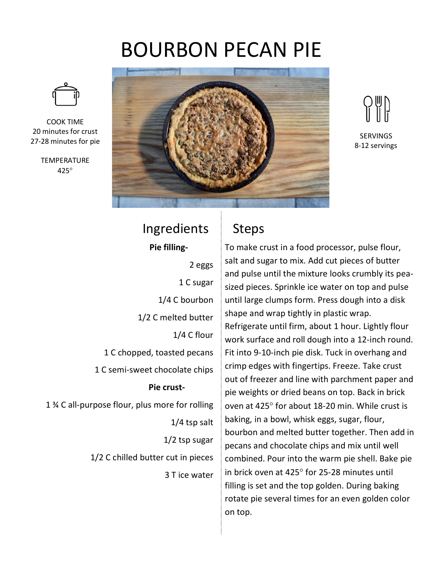## BOURBON PECAN PIE



COOK TIME 20 minutes for crust 27-28 minutes for pie

**TEMPERATURE** 425°



SERVINGS 8-12 servings

## Ingredients **Pie filling-**2 eggs 1 C sugar 1/4 C bourbon 1/2 C melted butter 1/4 C flour 1 C chopped, toasted pecans 1 C semi-sweet chocolate chips **Pie crust-**1 ¾ C all-purpose flour, plus more for rolling 1/4 tsp salt 1/2 tsp sugar 1/2 C chilled butter cut in pieces 3 T ice water

## Steps

To make crust in a food processor, pulse flour, salt and sugar to mix. Add cut pieces of butter and pulse until the mixture looks crumbly its peasized pieces. Sprinkle ice water on top and pulse until large clumps form. Press dough into a disk shape and wrap tightly in plastic wrap. Refrigerate until firm, about 1 hour. Lightly flour work surface and roll dough into a 12-inch round. Fit into 9-10-inch pie disk. Tuck in overhang and crimp edges with fingertips. Freeze. Take crust out of freezer and line with parchment paper and pie weights or dried beans on top. Back in brick oven at 425° for about 18-20 min. While crust is baking, in a bowl, whisk eggs, sugar, flour, bourbon and melted butter together. Then add in pecans and chocolate chips and mix until well combined. Pour into the warm pie shell. Bake pie in brick oven at 425° for 25-28 minutes until filling is set and the top golden. During baking rotate pie several times for an even golden color on top.